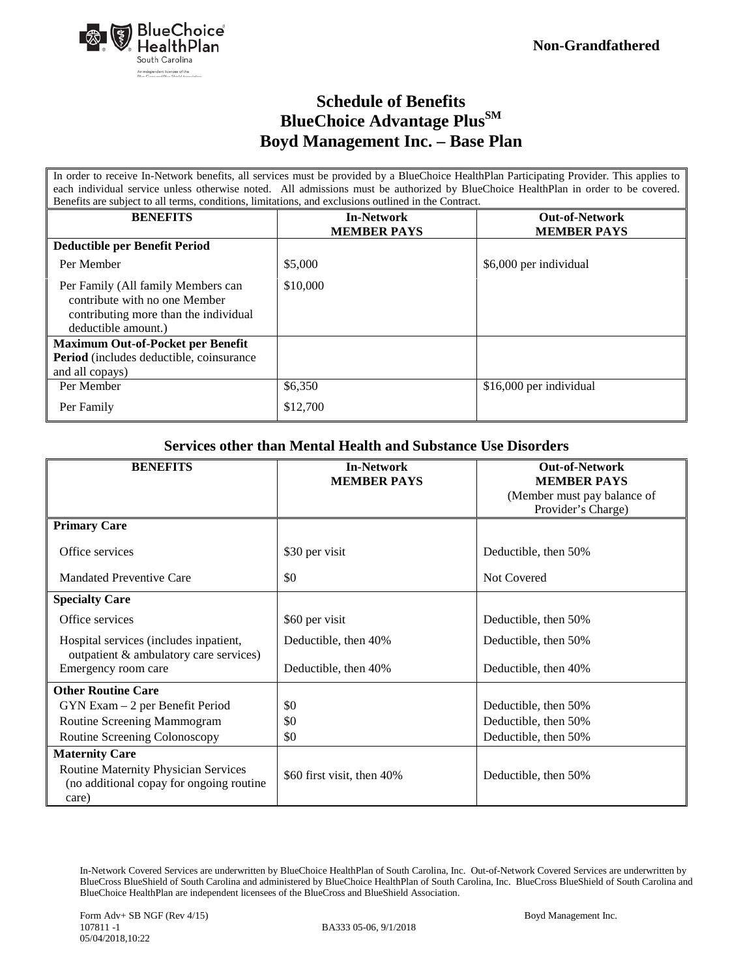

### **Schedule of Benefits BlueChoice Advantage Plus**<sup>SM</sup> **Boyd Management Inc. – Base Plan**

In order to receive In-Network benefits, all services must be provided by a BlueChoice HealthPlan Participating Provider. This applies to each individual service unless otherwise noted. All admissions must be authorized by BlueChoice HealthPlan in order to be covered. Benefits are subject to all terms, conditions, limitations, and exclusions outlined in the Contract.

| Benefits are subject to an terms, conditions, immunois, and exclusions outmied in the Contract.                                     |                                         |                                             |
|-------------------------------------------------------------------------------------------------------------------------------------|-----------------------------------------|---------------------------------------------|
| <b>BENEFITS</b>                                                                                                                     | <b>In-Network</b><br><b>MEMBER PAYS</b> | <b>Out-of-Network</b><br><b>MEMBER PAYS</b> |
| Deductible per Benefit Period                                                                                                       |                                         |                                             |
| Per Member                                                                                                                          | \$5,000                                 | \$6,000 per individual                      |
| Per Family (All family Members can<br>contribute with no one Member<br>contributing more than the individual<br>deductible amount.) | \$10,000                                |                                             |
| <b>Maximum Out-of-Pocket per Benefit</b>                                                                                            |                                         |                                             |
| <b>Period</b> (includes deductible, coinsurance)                                                                                    |                                         |                                             |
| and all copays)                                                                                                                     |                                         |                                             |
| Per Member                                                                                                                          | \$6,350                                 | \$16,000 per individual                     |
| Per Family                                                                                                                          | \$12,700                                |                                             |

#### **Services other than Mental Health and Substance Use Disorders**

| <b>BENEFITS</b>                             | <b>In-Network</b>          | <b>Out-of-Network</b>       |
|---------------------------------------------|----------------------------|-----------------------------|
|                                             | <b>MEMBER PAYS</b>         | <b>MEMBER PAYS</b>          |
|                                             |                            | (Member must pay balance of |
|                                             |                            | Provider's Charge)          |
| <b>Primary Care</b>                         |                            |                             |
| Office services                             | \$30 per visit             | Deductible, then 50%        |
| Mandated Preventive Care                    | \$0                        | Not Covered                 |
| <b>Specialty Care</b>                       |                            |                             |
| Office services                             | \$60 per visit             | Deductible, then 50%        |
| Hospital services (includes inpatient,      | Deductible, then 40%       | Deductible, then 50%        |
| outpatient & ambulatory care services)      |                            |                             |
| Emergency room care                         | Deductible, then 40%       | Deductible, then 40%        |
| <b>Other Routine Care</b>                   |                            |                             |
| $GYN Exam - 2$ per Benefit Period           | \$0                        | Deductible, then 50%        |
| Routine Screening Mammogram                 | \$0                        | Deductible, then 50%        |
| Routine Screening Colonoscopy               | \$0                        | Deductible, then 50%        |
| <b>Maternity Care</b>                       |                            |                             |
| <b>Routine Maternity Physician Services</b> | \$60 first visit, then 40% | Deductible, then 50%        |
| (no additional copay for ongoing routine)   |                            |                             |
| care)                                       |                            |                             |

In-Network Covered Services are underwritten by BlueChoice HealthPlan of South Carolina, Inc. Out-of-Network Covered Services are underwritten by BlueCross BlueShield of South Carolina and administered by BlueChoice HealthPlan of South Carolina, Inc. BlueCross BlueShield of South Carolina and BlueChoice HealthPlan are independent licensees of the BlueCross and BlueShield Association.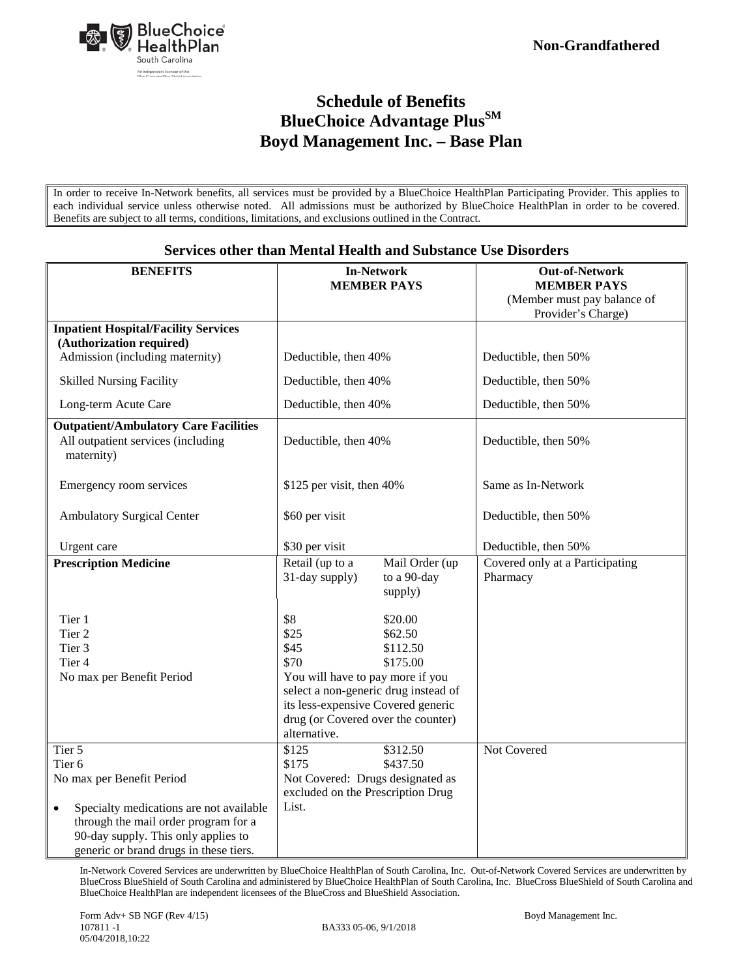

# **Schedule of Benefits BlueChoice Advantage Plus**SM **Boyd Management Inc. – Base Plan**

In order to receive In-Network benefits, all services must be provided by a BlueChoice HealthPlan Participating Provider. This applies to each individual service unless otherwise noted. All admissions must be authorized by BlueChoice HealthPlan in order to be covered. Benefits are subject to all terms, conditions, limitations, and exclusions outlined in the Contract.

| <b>BENEFITS</b>                                                               | <b>In-Network</b>                                                             | <b>Out-of-Network</b>                             |
|-------------------------------------------------------------------------------|-------------------------------------------------------------------------------|---------------------------------------------------|
|                                                                               | <b>MEMBER PAYS</b>                                                            | <b>MEMBER PAYS</b>                                |
|                                                                               |                                                                               | (Member must pay balance of<br>Provider's Charge) |
| <b>Inpatient Hospital/Facility Services</b>                                   |                                                                               |                                                   |
| (Authorization required)                                                      |                                                                               |                                                   |
| Admission (including maternity)                                               | Deductible, then 40%                                                          | Deductible, then 50%                              |
| <b>Skilled Nursing Facility</b>                                               | Deductible, then 40%                                                          | Deductible, then 50%                              |
| Long-term Acute Care                                                          | Deductible, then 40%                                                          | Deductible, then 50%                              |
| <b>Outpatient/Ambulatory Care Facilities</b>                                  |                                                                               |                                                   |
| All outpatient services (including<br>maternity)                              | Deductible, then 40%                                                          | Deductible, then 50%                              |
| Emergency room services                                                       | \$125 per visit, then 40%                                                     | Same as In-Network                                |
| <b>Ambulatory Surgical Center</b>                                             | \$60 per visit                                                                | Deductible, then 50%                              |
| Urgent care                                                                   | \$30 per visit                                                                | Deductible, then 50%                              |
| <b>Prescription Medicine</b>                                                  | Retail (up to a<br>Mail Order (up<br>31-day supply)<br>to a 90-day<br>supply) | Covered only at a Participating<br>Pharmacy       |
| Tier 1                                                                        | \$8<br>\$20.00                                                                |                                                   |
| Tier 2                                                                        | \$25<br>\$62.50                                                               |                                                   |
| Tier 3                                                                        | \$45<br>\$112.50                                                              |                                                   |
| Tier <sub>4</sub>                                                             | \$70<br>\$175.00                                                              |                                                   |
| No max per Benefit Period                                                     | You will have to pay more if you                                              |                                                   |
|                                                                               | select a non-generic drug instead of                                          |                                                   |
|                                                                               | its less-expensive Covered generic                                            |                                                   |
|                                                                               | drug (or Covered over the counter)                                            |                                                   |
|                                                                               | alternative.                                                                  |                                                   |
| Tier 5                                                                        | \$312.50<br>\$125                                                             | Not Covered                                       |
| Tier <sub>6</sub>                                                             | \$175<br>\$437.50                                                             |                                                   |
| No max per Benefit Period                                                     | Not Covered: Drugs designated as                                              |                                                   |
|                                                                               | excluded on the Prescription Drug                                             |                                                   |
| Specialty medications are not available<br>$\bullet$                          | List.                                                                         |                                                   |
| through the mail order program for a                                          |                                                                               |                                                   |
| 90-day supply. This only applies to<br>generic or brand drugs in these tiers. |                                                                               |                                                   |
|                                                                               |                                                                               |                                                   |

#### **Services other than Mental Health and Substance Use Disorders**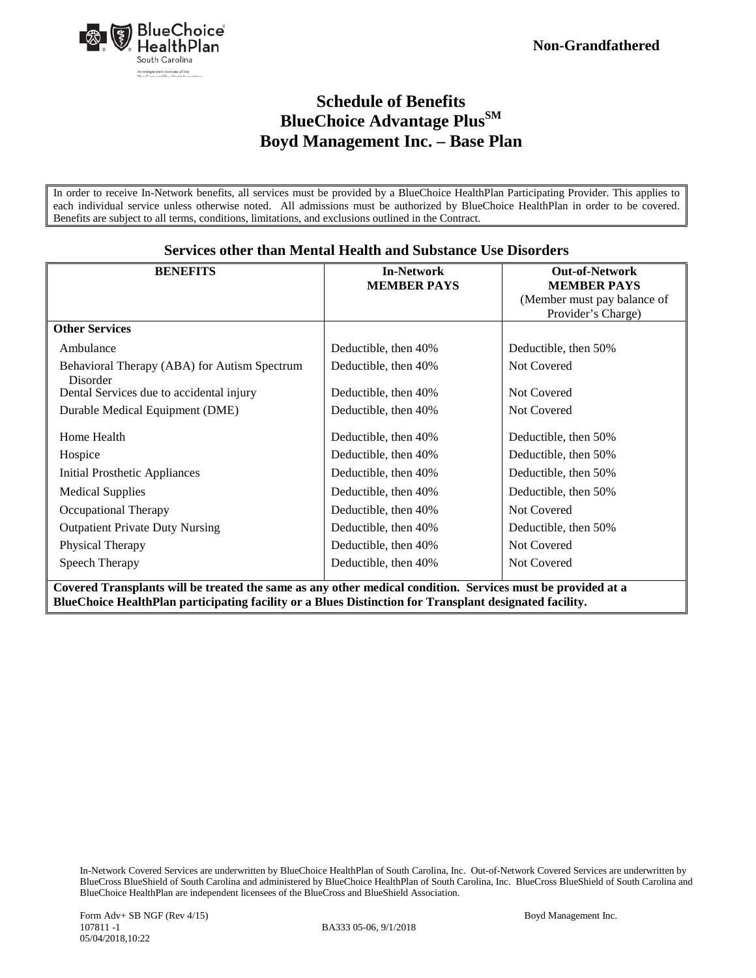

## **Schedule of Benefits BlueChoice Advantage Plus**<sup>SM</sup> **Boyd Management Inc. – Base Plan**

In order to receive In-Network benefits, all services must be provided by a BlueChoice HealthPlan Participating Provider. This applies to each individual service unless otherwise noted. All admissions must be authorized by BlueChoice HealthPlan in order to be covered. Benefits are subject to all terms, conditions, limitations, and exclusions outlined in the Contract.

| <b>BENEFITS</b>                                          | <b>In-Network</b>             | <b>Out-of-Network</b>       |
|----------------------------------------------------------|-------------------------------|-----------------------------|
|                                                          | <b>MEMBER PAYS</b>            | <b>MEMBER PAYS</b>          |
|                                                          |                               | (Member must pay balance of |
|                                                          |                               | Provider's Charge)          |
| <b>Other Services</b>                                    |                               |                             |
| Ambulance                                                | Deductible, then 40%          | Deductible, then 50%        |
| Behavioral Therapy (ABA) for Autism Spectrum<br>Disorder | Deductible, then 40%          | Not Covered                 |
| Dental Services due to accidental injury                 | Deductible, then 40%          | Not Covered                 |
| Durable Medical Equipment (DME)                          | Deductible, then 40%          | Not Covered                 |
| Home Health                                              | Deductible, then 40%          | Deductible, then 50%        |
| Hospice                                                  | Deductible, then 40%          | Deductible, then 50%        |
| Initial Prosthetic Appliances                            | Deductible, then 40%          | Deductible, then 50%        |
| <b>Medical Supplies</b>                                  | Deductible, then 40%          | Deductible, then 50%        |
| Occupational Therapy                                     | Deductible, then 40%          | Not Covered                 |
| <b>Outpatient Private Duty Nursing</b>                   | Deductible, then 40%          | Deductible, then 50%        |
| Physical Therapy                                         | Deductible, then 40%          | Not Covered                 |
| Speech Therapy                                           | Deductible, then 40%<br>1.1.1 | Not Covered                 |

#### **Services other than Mental Health and Substance Use Disorders**

**Covered Transplants will be treated the same as any other medical condition. Services must be provided at a BlueChoice HealthPlan participating facility or a Blues Distinction for Transplant designated facility.**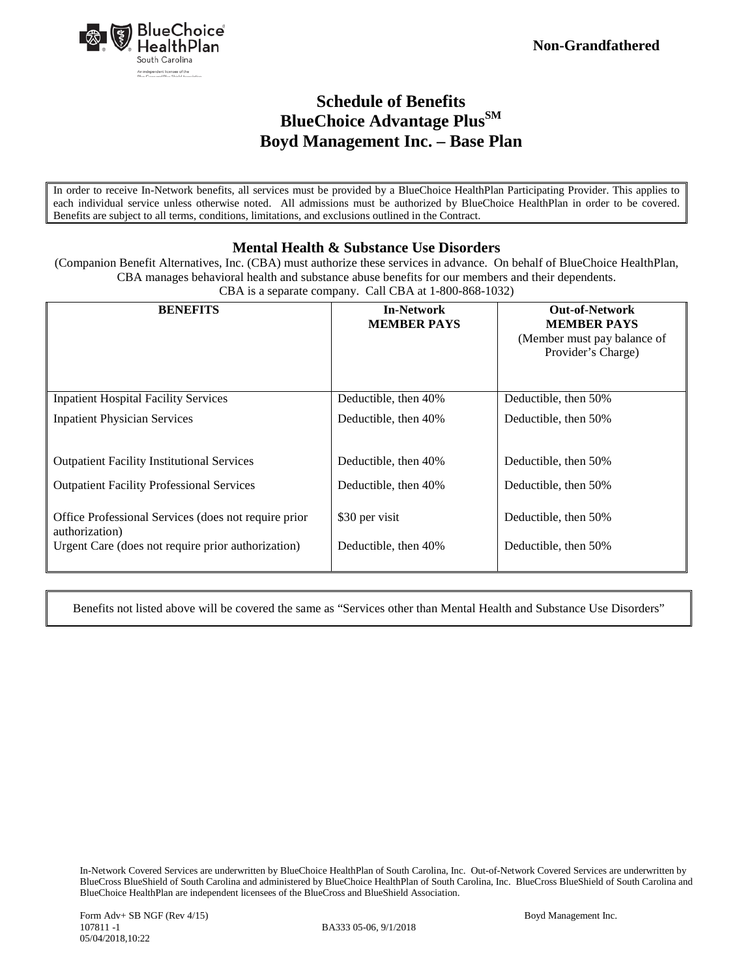

## **Schedule of Benefits BlueChoice Advantage Plus**<sup>SM</sup> **Boyd Management Inc. – Base Plan**

In order to receive In-Network benefits, all services must be provided by a BlueChoice HealthPlan Participating Provider. This applies to each individual service unless otherwise noted. All admissions must be authorized by BlueChoice HealthPlan in order to be covered. Benefits are subject to all terms, conditions, limitations, and exclusions outlined in the Contract.

#### **Mental Health & Substance Use Disorders**

(Companion Benefit Alternatives, Inc. (CBA) must authorize these services in advance. On behalf of BlueChoice HealthPlan, CBA manages behavioral health and substance abuse benefits for our members and their dependents.

| <b>BENEFITS</b>                                                        | <b>In-Network</b><br><b>MEMBER PAYS</b> | <b>Out-of-Network</b><br><b>MEMBER PAYS</b><br>(Member must pay balance of<br>Provider's Charge) |
|------------------------------------------------------------------------|-----------------------------------------|--------------------------------------------------------------------------------------------------|
| <b>Inpatient Hospital Facility Services</b>                            | Deductible, then 40%                    | Deductible, then 50%                                                                             |
| <b>Inpatient Physician Services</b>                                    | Deductible, then 40%                    | Deductible, then 50%                                                                             |
| <b>Outpatient Facility Institutional Services</b>                      | Deductible, then 40%                    | Deductible, then 50%                                                                             |
| <b>Outpatient Facility Professional Services</b>                       | Deductible, then 40%                    | Deductible, then 50%                                                                             |
| Office Professional Services (does not require prior<br>authorization) | \$30 per visit                          | Deductible, then 50%                                                                             |
| Urgent Care (does not require prior authorization)                     | Deductible, then 40%                    | Deductible, then 50%                                                                             |

CBA is a separate company. Call CBA at 1-800-868-1032)

Benefits not listed above will be covered the same as "Services other than Mental Health and Substance Use Disorders"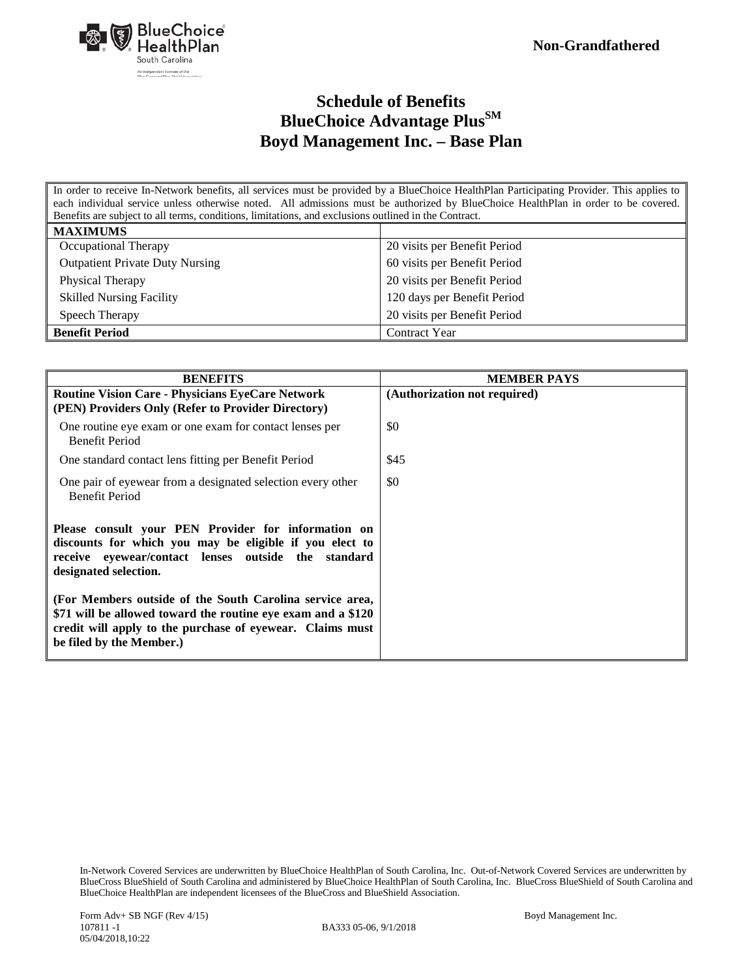

## **Schedule of Benefits BlueChoice Advantage Plus**SM **Boyd Management Inc. – Base Plan**

In order to receive In-Network benefits, all services must be provided by a BlueChoice HealthPlan Participating Provider. This applies to each individual service unless otherwise noted. All admissions must be authorized by BlueChoice HealthPlan in order to be covered. Benefits are subject to all terms, conditions, limitations, and exclusions outlined in the Contract.

| <b>MAXIMUMS</b>                        |                              |
|----------------------------------------|------------------------------|
| Occupational Therapy                   | 20 visits per Benefit Period |
| <b>Outpatient Private Duty Nursing</b> | 60 visits per Benefit Period |
| Physical Therapy                       | 20 visits per Benefit Period |
| <b>Skilled Nursing Facility</b>        | 120 days per Benefit Period  |
| Speech Therapy                         | 20 visits per Benefit Period |
| <b>Benefit Period</b>                  | <b>Contract Year</b>         |

| <b>BENEFITS</b>                                                                                                                                                                                                   | <b>MEMBER PAYS</b>           |
|-------------------------------------------------------------------------------------------------------------------------------------------------------------------------------------------------------------------|------------------------------|
| <b>Routine Vision Care - Physicians EyeCare Network</b><br>(PEN) Providers Only (Refer to Provider Directory)                                                                                                     | (Authorization not required) |
| One routine eye exam or one exam for contact lenses per<br><b>Benefit Period</b>                                                                                                                                  | \$0                          |
| One standard contact lens fitting per Benefit Period                                                                                                                                                              | \$45                         |
| One pair of eyewear from a designated selection every other<br><b>Benefit Period</b>                                                                                                                              | \$0                          |
| Please consult your PEN Provider for information on<br>discounts for which you may be eligible if you elect to<br>receive eyewear/contact lenses outside the standard<br>designated selection.                    |                              |
| (For Members outside of the South Carolina service area,<br>\$71 will be allowed toward the routine eye exam and a \$120<br>credit will apply to the purchase of eyewear. Claims must<br>be filed by the Member.) |                              |

In-Network Covered Services are underwritten by BlueChoice HealthPlan of South Carolina, Inc. Out-of-Network Covered Services are underwritten by BlueCross BlueShield of South Carolina and administered by BlueChoice HealthPlan of South Carolina, Inc. BlueCross BlueShield of South Carolina and BlueChoice HealthPlan are independent licensees of the BlueCross and BlueShield Association.